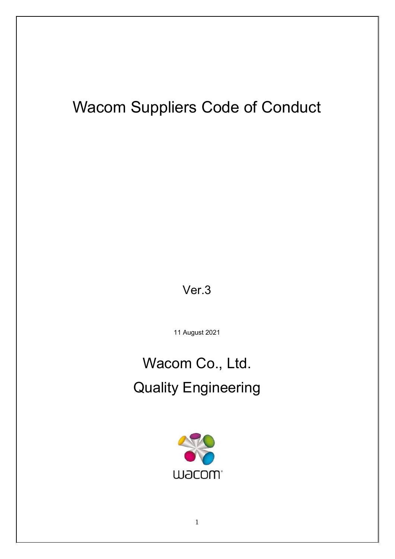## Wacom Suppliers Code of Conduct

Ver.3

11 August 2021

# Wacom Co., Ltd. Quality Engineering

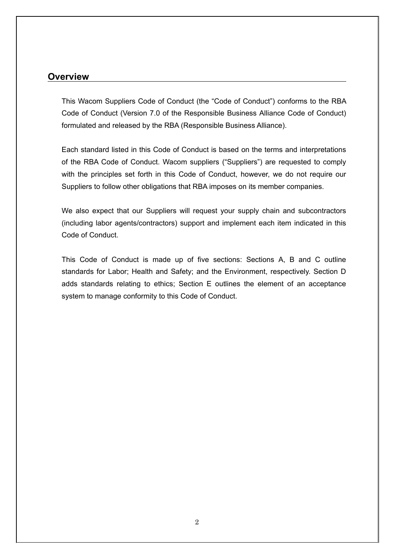## **Overview**

This Wacom Suppliers Code of Conduct (the "Code of Conduct") conforms to the RBA Code of Conduct (Version 7.0 of the Responsible Business Alliance Code of Conduct) formulated and released by the RBA (Responsible Business Alliance).

Each standard listed in this Code of Conduct is based on the terms and interpretations of the RBA Code of Conduct. Wacom suppliers ("Suppliers") are requested to comply with the principles set forth in this Code of Conduct, however, we do not require our Suppliers to follow other obligations that RBA imposes on its member companies.

We also expect that our Suppliers will request your supply chain and subcontractors (including labor agents/contractors) support and implement each item indicated in this Code of Conduct.

This Code of Conduct is made up of five sections: Sections A, B and C outline standards for Labor; Health and Safety; and the Environment, respectively. Section D adds standards relating to ethics; Section E outlines the element of an acceptance system to manage conformity to this Code of Conduct.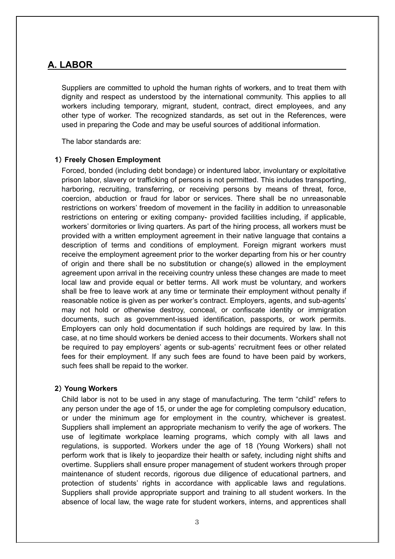## **A. LABOR**

Suppliers are committed to uphold the human rights of workers, and to treat them with dignity and respect as understood by the international community. This applies to all workers including temporary, migrant, student, contract, direct employees, and any other type of worker. The recognized standards, as set out in the References, were used in preparing the Code and may be useful sources of additional information.

The labor standards are:

## **1**) **Freely Chosen Employment**

Forced, bonded (including debt bondage) or indentured labor, involuntary or exploitative prison labor, slavery or trafficking of persons is not permitted. This includes transporting, harboring, recruiting, transferring, or receiving persons by means of threat, force, coercion, abduction or fraud for labor or services. There shall be no unreasonable restrictions on workers' freedom of movement in the facility in addition to unreasonable restrictions on entering or exiting company- provided facilities including, if applicable, workers' dormitories or living quarters. As part of the hiring process, all workers must be provided with a written employment agreement in their native language that contains a description of terms and conditions of employment. Foreign migrant workers must receive the employment agreement prior to the worker departing from his or her country of origin and there shall be no substitution or change(s) allowed in the employment agreement upon arrival in the receiving country unless these changes are made to meet local law and provide equal or better terms. All work must be voluntary, and workers shall be free to leave work at any time or terminate their employment without penalty if reasonable notice is given as per worker's contract. Employers, agents, and sub-agents' may not hold or otherwise destroy, conceal, or confiscate identity or immigration documents, such as government-issued identification, passports, or work permits. Employers can only hold documentation if such holdings are required by law. In this case, at no time should workers be denied access to their documents. Workers shall not be required to pay employers' agents or sub-agents' recruitment fees or other related fees for their employment. If any such fees are found to have been paid by workers, such fees shall be repaid to the worker.

## **2**) **Young Workers**

Child labor is not to be used in any stage of manufacturing. The term "child" refers to any person under the age of 15, or under the age for completing compulsory education, or under the minimum age for employment in the country, whichever is greatest. Suppliers shall implement an appropriate mechanism to verify the age of workers. The use of legitimate workplace learning programs, which comply with all laws and regulations, is supported. Workers under the age of 18 (Young Workers) shall not perform work that is likely to jeopardize their health or safety, including night shifts and overtime. Suppliers shall ensure proper management of student workers through proper maintenance of student records, rigorous due diligence of educational partners, and protection of students' rights in accordance with applicable laws and regulations. Suppliers shall provide appropriate support and training to all student workers. In the absence of local law, the wage rate for student workers, interns, and apprentices shall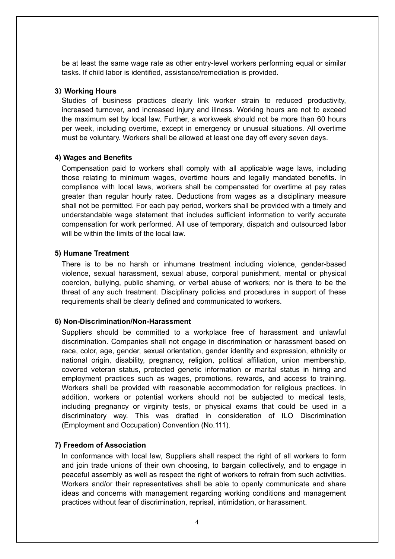be at least the same wage rate as other entry-level workers performing equal or similar tasks. If child labor is identified, assistance/remediation is provided.

#### **3**) **Working Hours**

Studies of business practices clearly link worker strain to reduced productivity, increased turnover, and increased injury and illness. Working hours are not to exceed the maximum set by local law. Further, a workweek should not be more than 60 hours per week, including overtime, except in emergency or unusual situations. All overtime must be voluntary. Workers shall be allowed at least one day off every seven days.

#### **4) Wages and Benefits**

Compensation paid to workers shall comply with all applicable wage laws, including those relating to minimum wages, overtime hours and legally mandated benefits. In compliance with local laws, workers shall be compensated for overtime at pay rates greater than regular hourly rates. Deductions from wages as a disciplinary measure shall not be permitted. For each pay period, workers shall be provided with a timely and understandable wage statement that includes sufficient information to verify accurate compensation for work performed. All use of temporary, dispatch and outsourced labor will be within the limits of the local law

#### **5) Humane Treatment**

There is to be no harsh or inhumane treatment including violence, gender-based violence, sexual harassment, sexual abuse, corporal punishment, mental or physical coercion, bullying, public shaming, or verbal abuse of workers; nor is there to be the threat of any such treatment. Disciplinary policies and procedures in support of these requirements shall be clearly defined and communicated to workers.

#### **6) Non-Discrimination/Non-Harassment**

Suppliers should be committed to a workplace free of harassment and unlawful discrimination. Companies shall not engage in discrimination or harassment based on race, color, age, gender, sexual orientation, gender identity and expression, ethnicity or national origin, disability, pregnancy, religion, political affiliation, union membership, covered veteran status, protected genetic information or marital status in hiring and employment practices such as wages, promotions, rewards, and access to training. Workers shall be provided with reasonable accommodation for religious practices. In addition, workers or potential workers should not be subjected to medical tests, including pregnancy or virginity tests, or physical exams that could be used in a discriminatory way. This was drafted in consideration of ILO Discrimination (Employment and Occupation) Convention (No.111).

#### **7) Freedom of Association**

In conformance with local law, Suppliers shall respect the right of all workers to form and join trade unions of their own choosing, to bargain collectively, and to engage in peaceful assembly as well as respect the right of workers to refrain from such activities. Workers and/or their representatives shall be able to openly communicate and share ideas and concerns with management regarding working conditions and management practices without fear of discrimination, reprisal, intimidation, or harassment.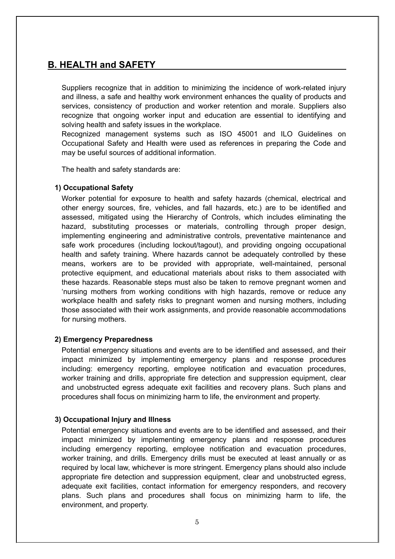## **B. HEALTH and SAFETY**

Suppliers recognize that in addition to minimizing the incidence of work-related injury and illness, a safe and healthy work environment enhances the quality of products and services, consistency of production and worker retention and morale. Suppliers also recognize that ongoing worker input and education are essential to identifying and solving health and safety issues in the workplace.

Recognized management systems such as ISO 45001 and ILO Guidelines on Occupational Safety and Health were used as references in preparing the Code and may be useful sources of additional information.

The health and safety standards are:

## **1) Occupational Safety**

Worker potential for exposure to health and safety hazards (chemical, electrical and other energy sources, fire, vehicles, and fall hazards, etc.) are to be identified and assessed, mitigated using the Hierarchy of Controls, which includes eliminating the hazard, substituting processes or materials, controlling through proper design, implementing engineering and administrative controls, preventative maintenance and safe work procedures (including lockout/tagout), and providing ongoing occupational health and safety training. Where hazards cannot be adequately controlled by these means, workers are to be provided with appropriate, well-maintained, personal protective equipment, and educational materials about risks to them associated with these hazards. Reasonable steps must also be taken to remove pregnant women and 'nursing mothers from working conditions with high hazards, remove or reduce any workplace health and safety risks to pregnant women and nursing mothers, including those associated with their work assignments, and provide reasonable accommodations for nursing mothers.

## **2) Emergency Preparedness**

Potential emergency situations and events are to be identified and assessed, and their impact minimized by implementing emergency plans and response procedures including: emergency reporting, employee notification and evacuation procedures, worker training and drills, appropriate fire detection and suppression equipment, clear and unobstructed egress adequate exit facilities and recovery plans. Such plans and procedures shall focus on minimizing harm to life, the environment and property.

## **3) Occupational Injury and Illness**

Potential emergency situations and events are to be identified and assessed, and their impact minimized by implementing emergency plans and response procedures including emergency reporting, employee notification and evacuation procedures, worker training, and drills. Emergency drills must be executed at least annually or as required by local law, whichever is more stringent. Emergency plans should also include appropriate fire detection and suppression equipment, clear and unobstructed egress, adequate exit facilities, contact information for emergency responders, and recovery plans. Such plans and procedures shall focus on minimizing harm to life, the environment, and property.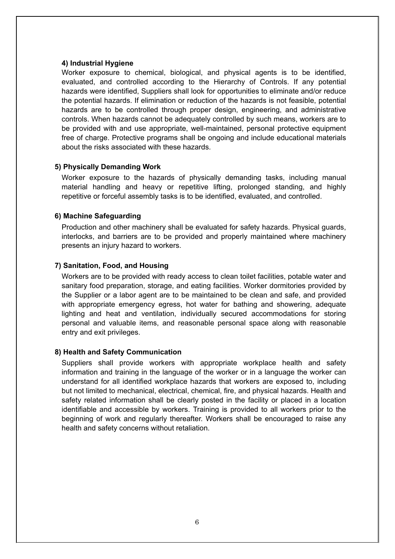## **4) Industrial Hygiene**

Worker exposure to chemical, biological, and physical agents is to be identified, evaluated, and controlled according to the Hierarchy of Controls. If any potential hazards were identified, Suppliers shall look for opportunities to eliminate and/or reduce the potential hazards. If elimination or reduction of the hazards is not feasible, potential hazards are to be controlled through proper design, engineering, and administrative controls. When hazards cannot be adequately controlled by such means, workers are to be provided with and use appropriate, well-maintained, personal protective equipment free of charge. Protective programs shall be ongoing and include educational materials about the risks associated with these hazards.

## **5) Physically Demanding Work**

Worker exposure to the hazards of physically demanding tasks, including manual material handling and heavy or repetitive lifting, prolonged standing, and highly repetitive or forceful assembly tasks is to be identified, evaluated, and controlled.

## **6) Machine Safeguarding**

Production and other machinery shall be evaluated for safety hazards. Physical guards, interlocks, and barriers are to be provided and properly maintained where machinery presents an injury hazard to workers.

## **7) Sanitation, Food, and Housing**

Workers are to be provided with ready access to clean toilet facilities, potable water and sanitary food preparation, storage, and eating facilities. Worker dormitories provided by the Supplier or a labor agent are to be maintained to be clean and safe, and provided with appropriate emergency egress, hot water for bathing and showering, adequate lighting and heat and ventilation, individually secured accommodations for storing personal and valuable items, and reasonable personal space along with reasonable entry and exit privileges.

## **8) Health and Safety Communication**

Suppliers shall provide workers with appropriate workplace health and safety information and training in the language of the worker or in a language the worker can understand for all identified workplace hazards that workers are exposed to, including but not limited to mechanical, electrical, chemical, fire, and physical hazards. Health and safety related information shall be clearly posted in the facility or placed in a location identifiable and accessible by workers. Training is provided to all workers prior to the beginning of work and regularly thereafter. Workers shall be encouraged to raise any health and safety concerns without retaliation.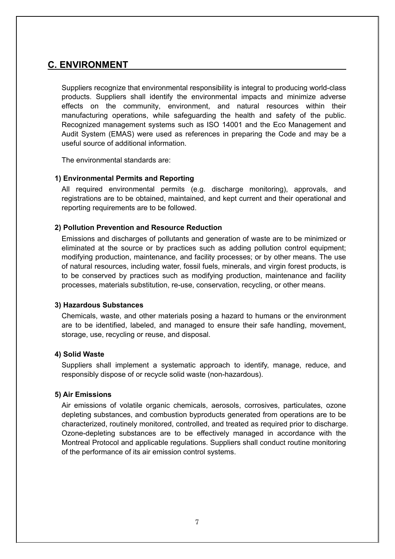## **C. ENVIRONMENT**

Suppliers recognize that environmental responsibility is integral to producing world-class products. Suppliers shall identify the environmental impacts and minimize adverse effects on the community, environment, and natural resources within their manufacturing operations, while safeguarding the health and safety of the public. Recognized management systems such as ISO 14001 and the Eco Management and Audit System (EMAS) were used as references in preparing the Code and may be a useful source of additional information.

The environmental standards are:

## **1) Environmental Permits and Reporting**

All required environmental permits (e.g. discharge monitoring), approvals, and registrations are to be obtained, maintained, and kept current and their operational and reporting requirements are to be followed.

## **2) Pollution Prevention and Resource Reduction**

Emissions and discharges of pollutants and generation of waste are to be minimized or eliminated at the source or by practices such as adding pollution control equipment; modifying production, maintenance, and facility processes; or by other means. The use of natural resources, including water, fossil fuels, minerals, and virgin forest products, is to be conserved by practices such as modifying production, maintenance and facility processes, materials substitution, re-use, conservation, recycling, or other means.

## **3) Hazardous Substances**

Chemicals, waste, and other materials posing a hazard to humans or the environment are to be identified, labeled, and managed to ensure their safe handling, movement, storage, use, recycling or reuse, and disposal.

## **4) Solid Waste**

Suppliers shall implement a systematic approach to identify, manage, reduce, and responsibly dispose of or recycle solid waste (non-hazardous).

## **5) Air Emissions**

Air emissions of volatile organic chemicals, aerosols, corrosives, particulates, ozone depleting substances, and combustion byproducts generated from operations are to be characterized, routinely monitored, controlled, and treated as required prior to discharge. Ozone-depleting substances are to be effectively managed in accordance with the Montreal Protocol and applicable regulations. Suppliers shall conduct routine monitoring of the performance of its air emission control systems.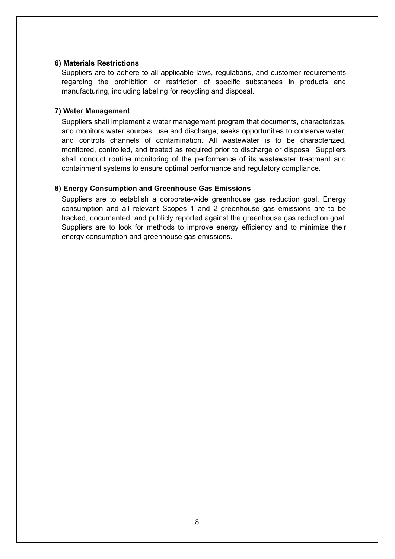## **6) Materials Restrictions**

Suppliers are to adhere to all applicable laws, regulations, and customer requirements regarding the prohibition or restriction of specific substances in products and manufacturing, including labeling for recycling and disposal.

## **7) Water Management**

Suppliers shall implement a water management program that documents, characterizes, and monitors water sources, use and discharge; seeks opportunities to conserve water; and controls channels of contamination. All wastewater is to be characterized, monitored, controlled, and treated as required prior to discharge or disposal. Suppliers shall conduct routine monitoring of the performance of its wastewater treatment and containment systems to ensure optimal performance and regulatory compliance.

## **8) Energy Consumption and Greenhouse Gas Emissions**

Suppliers are to establish a corporate-wide greenhouse gas reduction goal. Energy consumption and all relevant Scopes 1 and 2 greenhouse gas emissions are to be tracked, documented, and publicly reported against the greenhouse gas reduction goal. Suppliers are to look for methods to improve energy efficiency and to minimize their energy consumption and greenhouse gas emissions.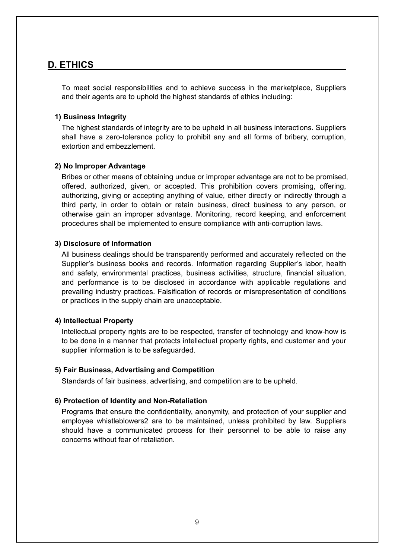## **D. ETHICS**

To meet social responsibilities and to achieve success in the marketplace, Suppliers and their agents are to uphold the highest standards of ethics including:

## **1) Business Integrity**

The highest standards of integrity are to be upheld in all business interactions. Suppliers shall have a zero-tolerance policy to prohibit any and all forms of bribery, corruption, extortion and embezzlement.

## **2) No Improper Advantage**

Bribes or other means of obtaining undue or improper advantage are not to be promised, offered, authorized, given, or accepted. This prohibition covers promising, offering, authorizing, giving or accepting anything of value, either directly or indirectly through a third party, in order to obtain or retain business, direct business to any person, or otherwise gain an improper advantage. Monitoring, record keeping, and enforcement procedures shall be implemented to ensure compliance with anti-corruption laws.

## **3) Disclosure of Information**

All business dealings should be transparently performed and accurately reflected on the Supplier's business books and records. Information regarding Supplier's labor, health and safety, environmental practices, business activities, structure, financial situation, and performance is to be disclosed in accordance with applicable regulations and prevailing industry practices. Falsification of records or misrepresentation of conditions or practices in the supply chain are unacceptable.

## **4) Intellectual Property**

Intellectual property rights are to be respected, transfer of technology and know-how is to be done in a manner that protects intellectual property rights, and customer and your supplier information is to be safeguarded.

## **5) Fair Business, Advertising and Competition**

Standards of fair business, advertising, and competition are to be upheld.

## **6) Protection of Identity and Non-Retaliation**

Programs that ensure the confidentiality, anonymity, and protection of your supplier and employee whistleblowers2 are to be maintained, unless prohibited by law. Suppliers should have a communicated process for their personnel to be able to raise any concerns without fear of retaliation.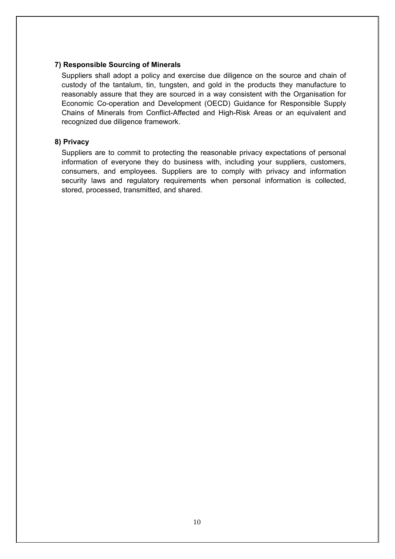## **7) Responsible Sourcing of Minerals**

Suppliers shall adopt a policy and exercise due diligence on the source and chain of custody of the tantalum, tin, tungsten, and gold in the products they manufacture to reasonably assure that they are sourced in a way consistent with the Organisation for Economic Co-operation and Development (OECD) Guidance for Responsible Supply Chains of Minerals from Conflict-Affected and High-Risk Areas or an equivalent and recognized due diligence framework.

## **8) Privacy**

Suppliers are to commit to protecting the reasonable privacy expectations of personal information of everyone they do business with, including your suppliers, customers, consumers, and employees. Suppliers are to comply with privacy and information security laws and regulatory requirements when personal information is collected, stored, processed, transmitted, and shared.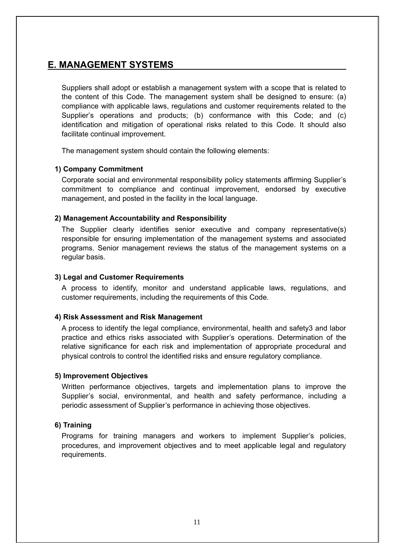## **E. MANAGEMENT SYSTEMS**

Suppliers shall adopt or establish a management system with a scope that is related to the content of this Code. The management system shall be designed to ensure: (a) compliance with applicable laws, regulations and customer requirements related to the Supplier's operations and products; (b) conformance with this Code; and (c) identification and mitigation of operational risks related to this Code. It should also facilitate continual improvement.

The management system should contain the following elements:

## **1) Company Commitment**

Corporate social and environmental responsibility policy statements affirming Supplier's commitment to compliance and continual improvement, endorsed by executive management, and posted in the facility in the local language.

## **2) Management Accountability and Responsibility**

The Supplier clearly identifies senior executive and company representative(s) responsible for ensuring implementation of the management systems and associated programs. Senior management reviews the status of the management systems on a regular basis.

## **3) Legal and Customer Requirements**

A process to identify, monitor and understand applicable laws, regulations, and customer requirements, including the requirements of this Code.

## **4) Risk Assessment and Risk Management**

A process to identify the legal compliance, environmental, health and safety3 and labor practice and ethics risks associated with Supplier's operations. Determination of the relative significance for each risk and implementation of appropriate procedural and physical controls to control the identified risks and ensure regulatory compliance.

## **5) Improvement Objectives**

Written performance objectives, targets and implementation plans to improve the Supplier's social, environmental, and health and safety performance, including a periodic assessment of Supplier's performance in achieving those objectives.

## **6) Training**

Programs for training managers and workers to implement Supplier's policies, procedures, and improvement objectives and to meet applicable legal and regulatory requirements.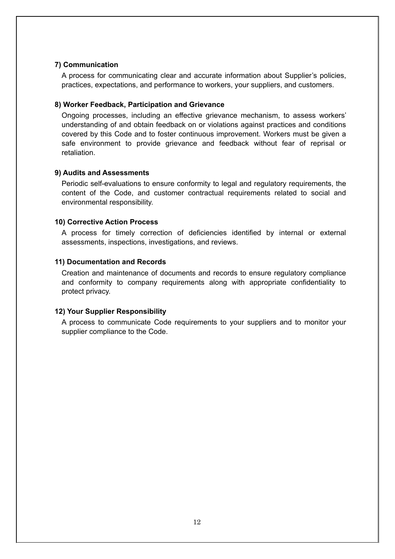## **7) Communication**

A process for communicating clear and accurate information about Supplier's policies, practices, expectations, and performance to workers, your suppliers, and customers.

## **8) Worker Feedback, Participation and Grievance**

Ongoing processes, including an effective grievance mechanism, to assess workers' understanding of and obtain feedback on or violations against practices and conditions covered by this Code and to foster continuous improvement. Workers must be given a safe environment to provide grievance and feedback without fear of reprisal or retaliation.

## **9) Audits and Assessments**

Periodic self-evaluations to ensure conformity to legal and regulatory requirements, the content of the Code, and customer contractual requirements related to social and environmental responsibility.

## **10) Corrective Action Process**

A process for timely correction of deficiencies identified by internal or external assessments, inspections, investigations, and reviews.

## **11) Documentation and Records**

Creation and maintenance of documents and records to ensure regulatory compliance and conformity to company requirements along with appropriate confidentiality to protect privacy.

## **12) Your Supplier Responsibility**

A process to communicate Code requirements to your suppliers and to monitor your supplier compliance to the Code.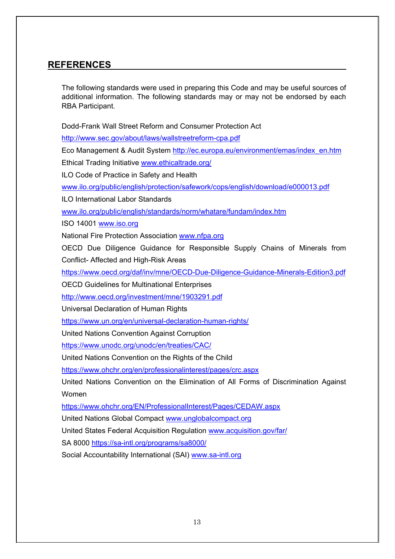## **REFERENCES**

The following standards were used in preparing this Code and may be useful sources of additional information. The following standards may or may not be endorsed by each RBA Participant.

Dodd-Frank Wall Street Reform and Consumer Protection Act

<http://www.sec.gov/about/laws/wallstreetreform-cpa.pdf>

Eco Management & Audit System [http://ec.europa.eu/environment/emas/index\\_en.htm](http://ec.europa.eu/environment/emas/index_en.htm)

Ethical Trading Initiative [www.ethicaltrade.org/](http://www.ethicaltrade.org/)

ILO Code of Practice in Safety and Health

[www.ilo.org/public/english/protection/safework/cops/english/download/e000013.pdf](http://www.ilo.org/public/english/protection/safework/cops/english/download/e000013.pdf)

ILO International Labor Standards

[www.ilo.org/public/english/standards/norm/whatare/fundam/index.htm](http://www.ilo.org/public/english/standards/norm/whatare/fundam/index.htm)

ISO 14001 [www.iso.org](http://www.iso.org/)

National Fire Protection Association [www.nfpa.org](http://www.nfpa.org/)

OECD Due Diligence Guidance for Responsible Supply Chains of Minerals from Conflict- Affected and High-Risk Areas

<https://www.oecd.org/daf/inv/mne/OECD-Due-Diligence-Guidance-Minerals-Edition3.pdf>

OECD Guidelines for Multinational Enterprises

<http://www.oecd.org/investment/mne/1903291.pdf>

Universal Declaration of Human Rights

<https://www.un.org/en/universal-declaration-human-rights/>

United Nations Convention Against Corruption

<https://www.unodc.org/unodc/en/treaties/CAC/>

United Nations Convention on the Rights of the Child

<https://www.ohchr.org/en/professionalinterest/pages/crc.aspx>

United Nations Convention on the Elimination of All Forms of Discrimination Against Women

<https://www.ohchr.org/EN/ProfessionalInterest/Pages/CEDAW.aspx>

United Nations Global Compact [www.unglobalcompact.org](http://www.unglobalcompact.org/)

United States Federal Acquisition Regulation [www.acquisition.gov/far/](http://www.acquisition.gov/far/)

SA 8000<https://sa-intl.org/programs/sa8000/>

Social Accountability International (SAI) [www.sa-intl.org](http://www.sa-intl.org/)